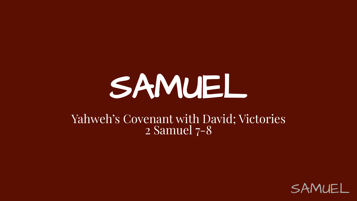# SAMUEL

#### Yahweh's Covenant with David; Victories 2 Samuel 7-8

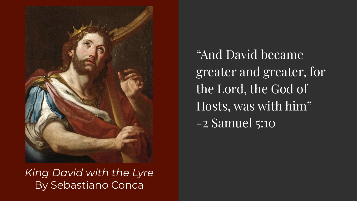

*King David with the Lyre* By Sebastiano Conca

"And David became greater and greater, for the Lord, the God of Hosts, was with him" -2 Samuel 5:10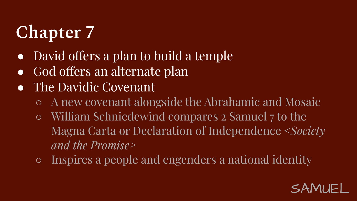# **Chapter 7**

- David offers a plan to build a temple
- God offers an alternate plan
- The Davidic Covenant
	- A new covenant alongside the Abrahamic and Mosaic
	- William Schniedewind compares 2 Samuel 7 to the Magna Carta or Declaration of Independence <*Society and the Promise>*
	- Inspires a people and engenders a national identity

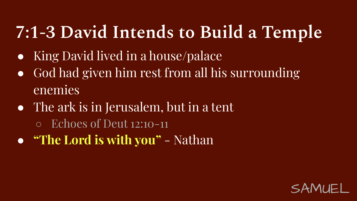# **7:1-3 David Intends to Build a Temple**

- King David lived in a house/palace
- God had given him rest from all his surrounding enemies
- The ark is in Jerusalem, but in a tent
	- Echoes of Deut 12:10-11
- **"The Lord is with you"** Nathan

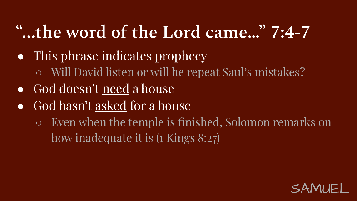# **"...the word of the Lord came…" 7:4-7**

- This phrase indicates prophecy
	- Will David listen or will he repeat Saul's mistakes?
- God doesn't need a house
- God hasn't <u>asked</u> for a house
	- Even when the temple is finished, Solomon remarks on how inadequate it is  $(1 \text{ Kings } 8:27)$

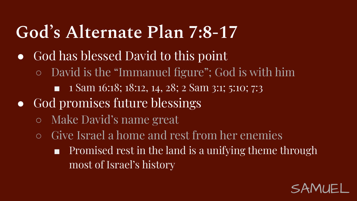### **God's Alternate Plan 7:8-17**

- God has blessed David to this point
	- David is the "Immanuel figure"; God is with him
		- 1 Sam 16:18; 18:12, 14, 28; 2 Sam 3:1; 5:10; 7:3
- God promises future blessings
	- Make David's name great
	- Give Israel a home and rest from her enemies
		- Promised rest in the land is a unifying theme through most of Israel's history

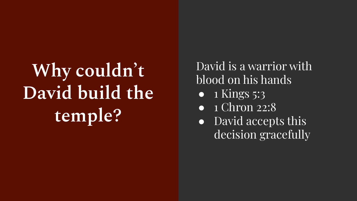# Why couldn't **David build the temple?**

David is a warrior with blood on his hands

- $\bullet$  1 Kings 5:3
- 1 Chron 22:8
- David accepts this decision gracefully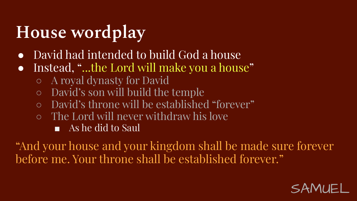# **House wordplay**

- David had intended to build God a house
- Instead, "...the Lord will make you a house"
	- A royal dynasty for David
	- David's son will build the temple
	- David's throne will be established "forever"
	- The Lord will never withdraw his love
		- As he did to Saul

"And your house and your kingdom shall be made sure forever before me. Your throne shall be established forever."

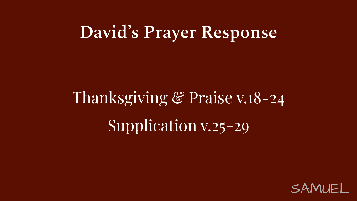#### **David's Prayer Response**

# Thanksgiving & Praise v.18-24 Supplication v.25-29

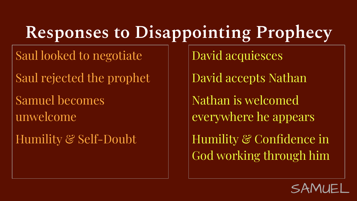## **Responses to Disappointing Prophecy**

Saul looked to negotiate

Saul rejected the prophet

Samuel becomes unwelcome

Humility & Self-Doubt

David acquiesces

David accepts Nathan

Nathan is welcomed everywhere he appears

Humility & Confidence in God working through him

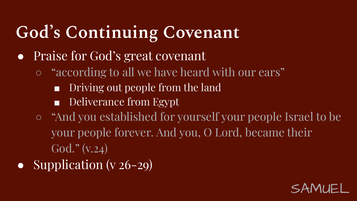# **God's Continuing Covenant**

- Praise for God's great covenant
	- "according to all we have heard with our ears"
		- Driving out people from the land
		- Deliverance from Egypt
	- "And you established for yourself your people Israel to be your people forever. And you, O Lord, became their God." (v.24)
- Supplication (v  $26-29$ )

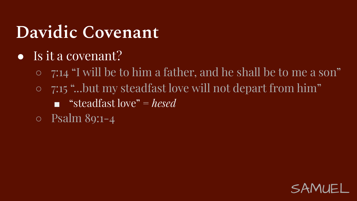- Is it a covenant?
	- 7:14 "I will be to him a father, and he shall be to me a son"
	- 7:15 "...but my steadfast love will not depart from him"
		- "steadfast love" = *hesed*
	- Psalm 89:1-4

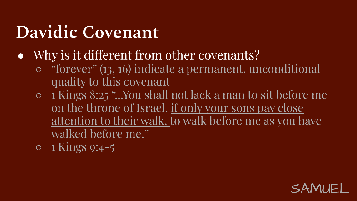- Why is it different from other covenants?
	- "forever" (13, 16) indicate a permanent, unconditional quality to this covenant
	- 1 Kings 8:25 "...You shall not lack a man to sit before me on the throne of Israel, <u>if only your sons pay close</u> attention to their walk, to walk before me as you have walked before me."
	- $\circ$  1 Kings 9:4-5

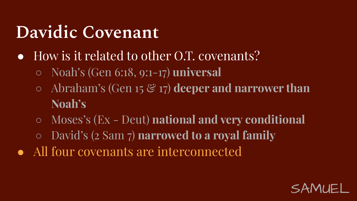- How is it related to other O.T. covenants?
	- Noah's (Gen 6:18, 9:1-17) **universal**
	- Abraham's (Gen 15 & 17) **deeper and narrower than Noah's**
	- Moses's (Ex Deut) **national and very conditional**
	- David's (2 Sam 7) **narrowed to a royal family**
- All four covenants are interconnected

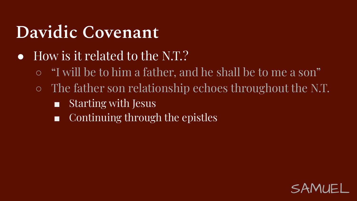- How is it related to the N.T.?
	- "I will be to him a father, and he shall be to me a son"
	- The father son relationship echoes throughout the N.T.
		- Starting with Jesus
		- Continuing through the epistles